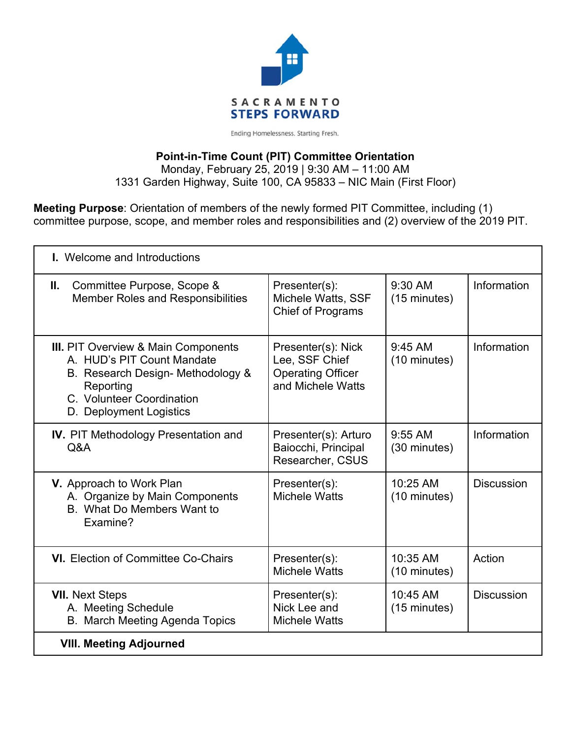

Ending Homelessness. Starting Fresh.

### **Point-in-Time Count (PIT) Committee Orientation**

Monday, February 25, 2019 | 9:30 AM – 11:00 AM 1331 Garden Highway, Suite 100, CA 95833 – NIC Main (First Floor)

**Meeting Purpose**: Orientation of members of the newly formed PIT Committee, including (1) committee purpose, scope, and member roles and responsibilities and (2) overview of the 2019 PIT.

| <b>I.</b> Welcome and Introductions                                                                                                                                                |                                                                                       |                           |                   |
|------------------------------------------------------------------------------------------------------------------------------------------------------------------------------------|---------------------------------------------------------------------------------------|---------------------------|-------------------|
| Committee Purpose, Scope &<br>Ш.<br><b>Member Roles and Responsibilities</b>                                                                                                       | Presenter(s):<br>Michele Watts, SSF<br><b>Chief of Programs</b>                       | $9:30$ AM<br>(15 minutes) | Information       |
| <b>III.</b> PIT Overview & Main Components<br>A. HUD's PIT Count Mandate<br>B. Research Design- Methodology &<br>Reporting<br>C. Volunteer Coordination<br>D. Deployment Logistics | Presenter(s): Nick<br>Lee, SSF Chief<br><b>Operating Officer</b><br>and Michele Watts | $9:45$ AM<br>(10 minutes) | Information       |
| <b>IV.</b> PIT Methodology Presentation and<br>Q&A                                                                                                                                 | Presenter(s): Arturo<br>Baiocchi, Principal<br>Researcher, CSUS                       | $9:55$ AM<br>(30 minutes) | Information       |
| V. Approach to Work Plan<br>A. Organize by Main Components<br>B. What Do Members Want to<br>Examine?                                                                               | Presenter(s):<br>Michele Watts                                                        | 10:25 AM<br>(10 minutes)  | <b>Discussion</b> |
| <b>VI.</b> Election of Committee Co-Chairs                                                                                                                                         | Presenter(s):<br><b>Michele Watts</b>                                                 | 10:35 AM<br>(10 minutes)  | Action            |
| <b>VII. Next Steps</b><br>A. Meeting Schedule<br>B. March Meeting Agenda Topics                                                                                                    | Presenter(s):<br>Nick Lee and<br><b>Michele Watts</b>                                 | 10:45 AM<br>(15 minutes)  | <b>Discussion</b> |
| <b>VIII. Meeting Adjourned</b>                                                                                                                                                     |                                                                                       |                           |                   |